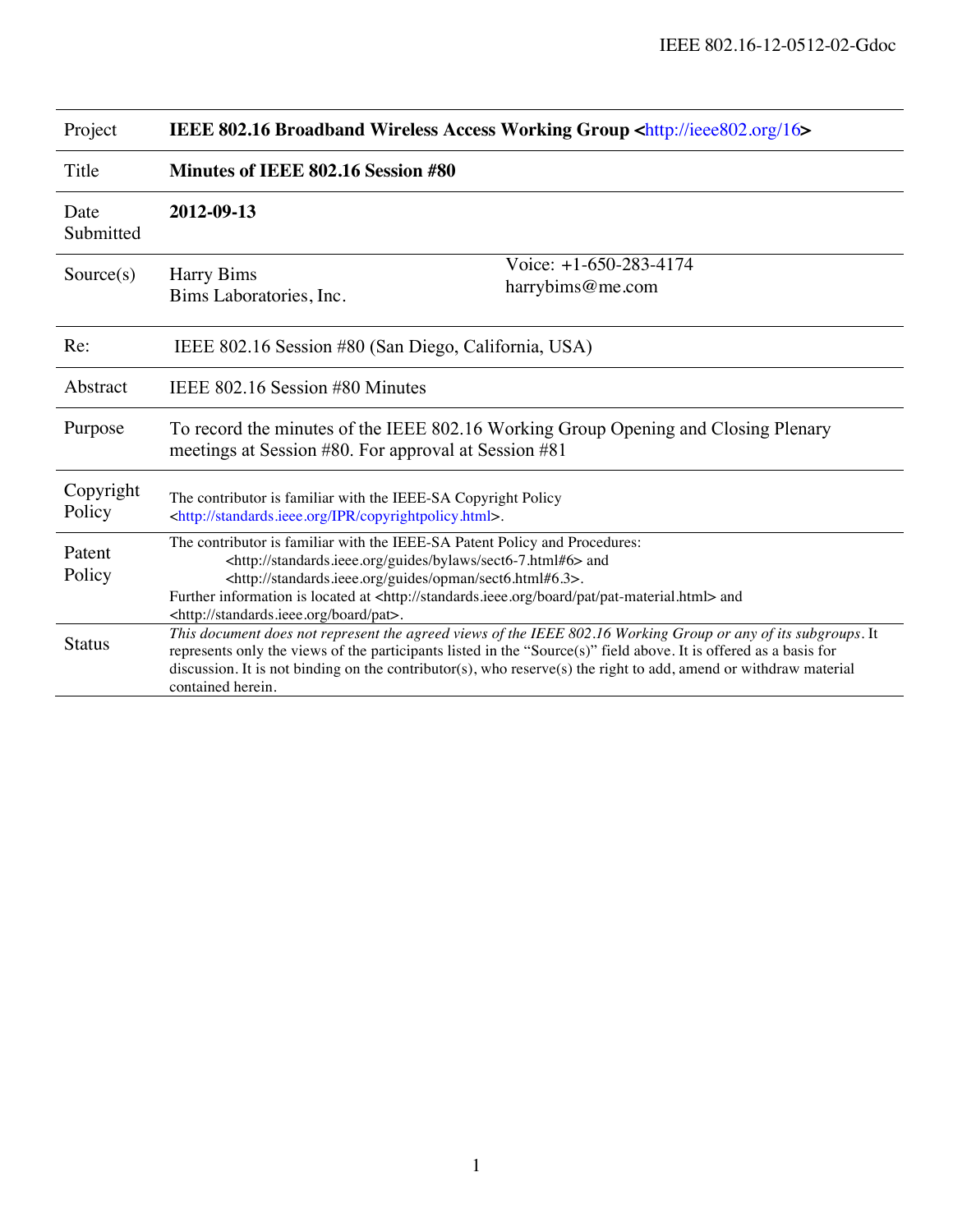| Project             | IEEE 802.16 Broadband Wireless Access Working Group <http: 16="" ieee802.org=""></http:>                                                                                                                                                                                                                                                                                                                                      |  |  |  |
|---------------------|-------------------------------------------------------------------------------------------------------------------------------------------------------------------------------------------------------------------------------------------------------------------------------------------------------------------------------------------------------------------------------------------------------------------------------|--|--|--|
| Title               | Minutes of IEEE 802.16 Session #80                                                                                                                                                                                                                                                                                                                                                                                            |  |  |  |
| Date<br>Submitted   | 2012-09-13                                                                                                                                                                                                                                                                                                                                                                                                                    |  |  |  |
| Source(s)           | Voice: +1-650-283-4174<br><b>Harry Bims</b><br>harrybims@me.com<br>Bims Laboratories, Inc.                                                                                                                                                                                                                                                                                                                                    |  |  |  |
| Re:                 | IEEE 802.16 Session #80 (San Diego, California, USA)                                                                                                                                                                                                                                                                                                                                                                          |  |  |  |
| Abstract            | IEEE 802.16 Session #80 Minutes                                                                                                                                                                                                                                                                                                                                                                                               |  |  |  |
| Purpose             | To record the minutes of the IEEE 802.16 Working Group Opening and Closing Plenary<br>meetings at Session #80. For approval at Session #81                                                                                                                                                                                                                                                                                    |  |  |  |
| Copyright<br>Policy | The contributor is familiar with the IEEE-SA Copyright Policy<br><http: copyrightpolicy.html="" ipr="" standards.ieee.org="">.</http:>                                                                                                                                                                                                                                                                                        |  |  |  |
| Patent<br>Policy    | The contributor is familiar with the IEEE-SA Patent Policy and Procedures:<br><http: bylaws="" guides="" sect6-7.html#6="" standards.ieee.org=""> and<br/><http: guides="" opman="" sect6.html#6.3="" standards.ieee.org="">.<br/>Further information is located at <http: board="" pat="" pat-material.html="" standards.ieee.org=""> and<br/><http: board="" pat="" standards.ieee.org="">.</http:></http:></http:></http:> |  |  |  |
| <b>Status</b>       | This document does not represent the agreed views of the IEEE 802.16 Working Group or any of its subgroups. It<br>represents only the views of the participants listed in the "Source(s)" field above. It is offered as a basis for<br>discussion. It is not binding on the contributor(s), who reserve(s) the right to add, amend or withdraw material<br>contained herein.                                                  |  |  |  |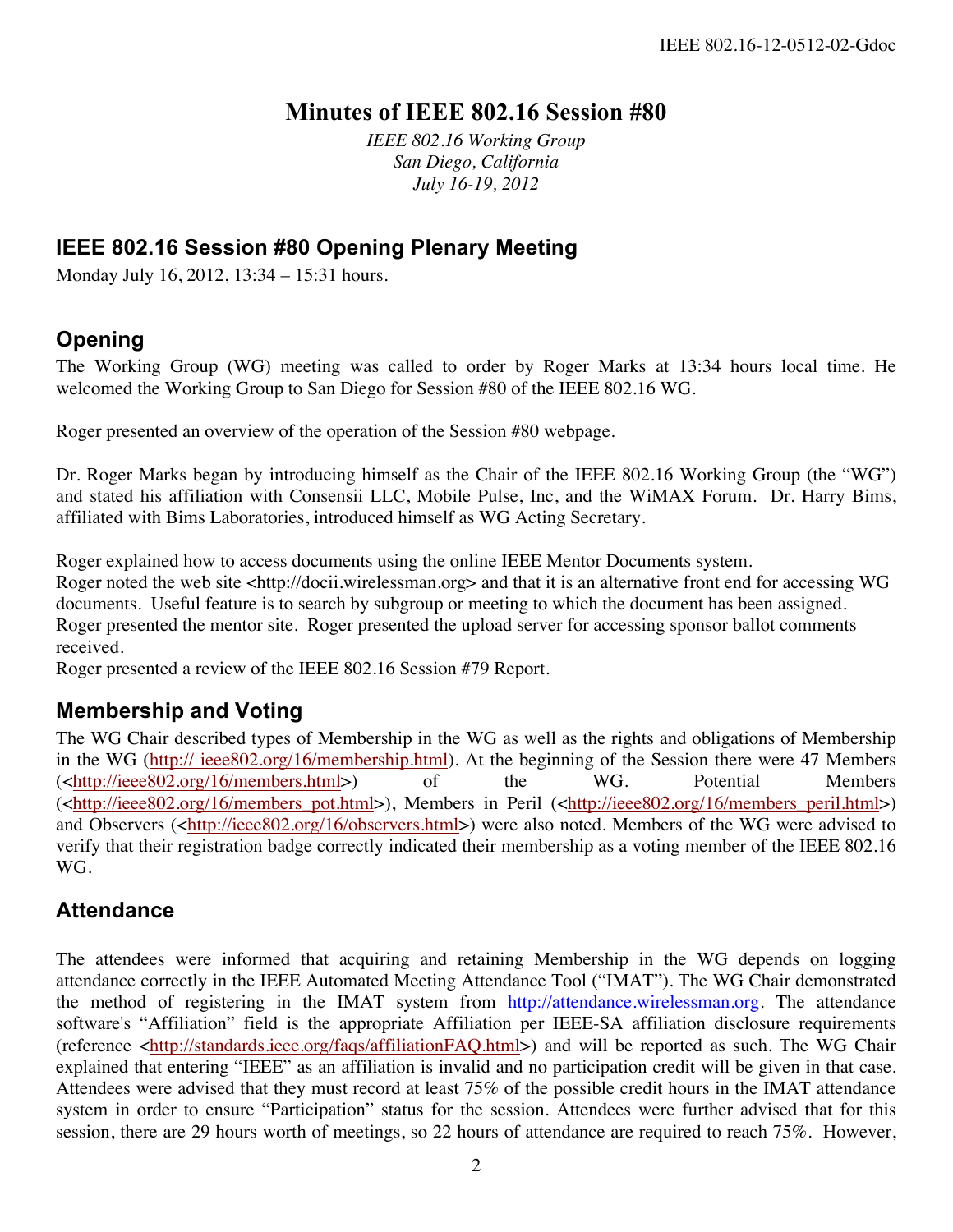### **Minutes of IEEE 802.16 Session #80**

*IEEE 802.16 Working Group San Diego, California July 16-19, 2012*

### **IEEE 802.16 Session #80 Opening Plenary Meeting**

Monday July 16, 2012, 13:34 – 15:31 hours.

### **Opening**

The Working Group (WG) meeting was called to order by Roger Marks at 13:34 hours local time. He welcomed the Working Group to San Diego for Session #80 of the IEEE 802.16 WG.

Roger presented an overview of the operation of the Session #80 webpage.

Dr. Roger Marks began by introducing himself as the Chair of the IEEE 802.16 Working Group (the "WG") and stated his affiliation with Consensii LLC, Mobile Pulse, Inc, and the WiMAX Forum. Dr. Harry Bims, affiliated with Bims Laboratories, introduced himself as WG Acting Secretary.

Roger explained how to access documents using the online IEEE Mentor Documents system. Roger noted the web site <http://docii.wirelessman.org> and that it is an alternative front end for accessing WG documents. Useful feature is to search by subgroup or meeting to which the document has been assigned. Roger presented the mentor site. Roger presented the upload server for accessing sponsor ballot comments received.

Roger presented a review of the IEEE 802.16 Session #79 Report.

### **Membership and Voting**

The WG Chair described types of Membership in the WG as well as the rights and obligations of Membership in the WG (http:// ieee802.org/16/membership.html). At the beginning of the Session there were 47 Members (<http://ieee802.org/16/members.html>) of the WG. Potential Members (<http://ieee802.org/16/members\_pot.html>), Members in Peril (<http://ieee802.org/16/members\_peril.html>) and Observers (<http://ieee802.org/16/observers.html>) were also noted. Members of the WG were advised to verify that their registration badge correctly indicated their membership as a voting member of the IEEE 802.16 WG.

### **Attendance**

The attendees were informed that acquiring and retaining Membership in the WG depends on logging attendance correctly in the IEEE Automated Meeting Attendance Tool ("IMAT"). The WG Chair demonstrated the method of registering in the IMAT system from http://attendance.wirelessman.org. The attendance software's "Affiliation" field is the appropriate Affiliation per IEEE-SA affiliation disclosure requirements (reference <http://standards.ieee.org/faqs/affiliationFAQ.html>) and will be reported as such. The WG Chair explained that entering "IEEE" as an affiliation is invalid and no participation credit will be given in that case. Attendees were advised that they must record at least 75% of the possible credit hours in the IMAT attendance system in order to ensure "Participation" status for the session. Attendees were further advised that for this session, there are 29 hours worth of meetings, so 22 hours of attendance are required to reach 75%. However,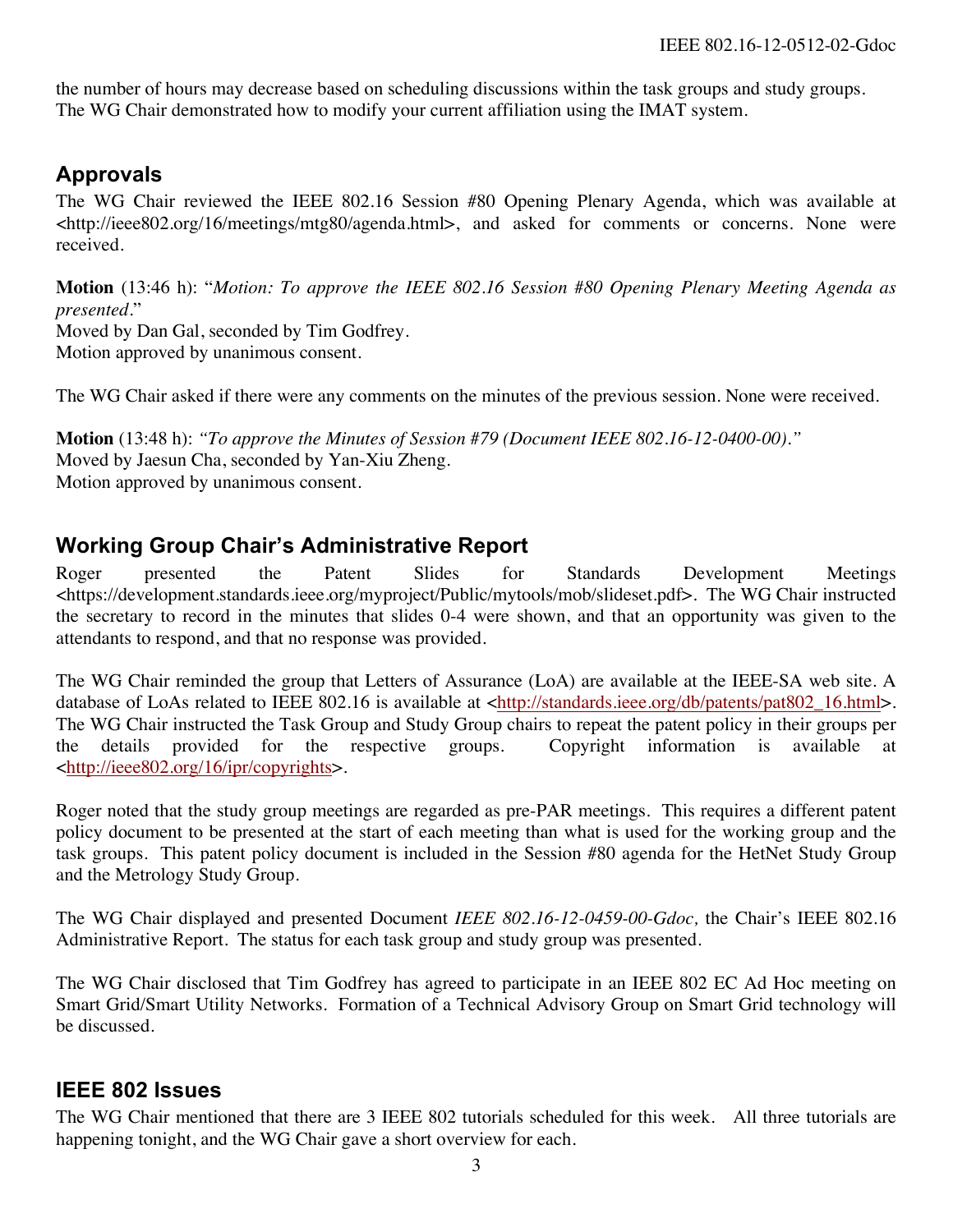the number of hours may decrease based on scheduling discussions within the task groups and study groups. The WG Chair demonstrated how to modify your current affiliation using the IMAT system.

### **Approvals**

The WG Chair reviewed the IEEE 802.16 Session #80 Opening Plenary Agenda, which was available at <http://ieee802.org/16/meetings/mtg80/agenda.html>, and asked for comments or concerns. None were received.

**Motion** (13:46 h): "*Motion: To approve the IEEE 802.16 Session #80 Opening Plenary Meeting Agenda as presented.*" Moved by Dan Gal, seconded by Tim Godfrey. Motion approved by unanimous consent.

The WG Chair asked if there were any comments on the minutes of the previous session. None were received.

**Motion** (13:48 h): *"To approve the Minutes of Session #79 (Document IEEE 802.16-12-0400-00)."* Moved by Jaesun Cha, seconded by Yan-Xiu Zheng. Motion approved by unanimous consent.

### **Working Group Chair's Administrative Report**

Roger presented the Patent Slides for Standards Development Meetings <https://development.standards.ieee.org/myproject/Public/mytools/mob/slideset.pdf>. The WG Chair instructed the secretary to record in the minutes that slides 0-4 were shown, and that an opportunity was given to the attendants to respond, and that no response was provided.

The WG Chair reminded the group that Letters of Assurance (LoA) are available at the IEEE-SA web site. A database of LoAs related to IEEE 802.16 is available at <http://standards.ieee.org/db/patents/pat802\_16.html>. The WG Chair instructed the Task Group and Study Group chairs to repeat the patent policy in their groups per the details provided for the respective groups. Copyright information is available at <http://ieee802.org/16/ipr/copyrights>.

Roger noted that the study group meetings are regarded as pre-PAR meetings. This requires a different patent policy document to be presented at the start of each meeting than what is used for the working group and the task groups. This patent policy document is included in the Session #80 agenda for the HetNet Study Group and the Metrology Study Group.

The WG Chair displayed and presented Document *IEEE 802.16-12-0459-00-Gdoc,* the Chair's IEEE 802.16 Administrative Report. The status for each task group and study group was presented.

The WG Chair disclosed that Tim Godfrey has agreed to participate in an IEEE 802 EC Ad Hoc meeting on Smart Grid/Smart Utility Networks. Formation of a Technical Advisory Group on Smart Grid technology will be discussed.

### **IEEE 802 Issues**

The WG Chair mentioned that there are 3 IEEE 802 tutorials scheduled for this week. All three tutorials are happening tonight, and the WG Chair gave a short overview for each.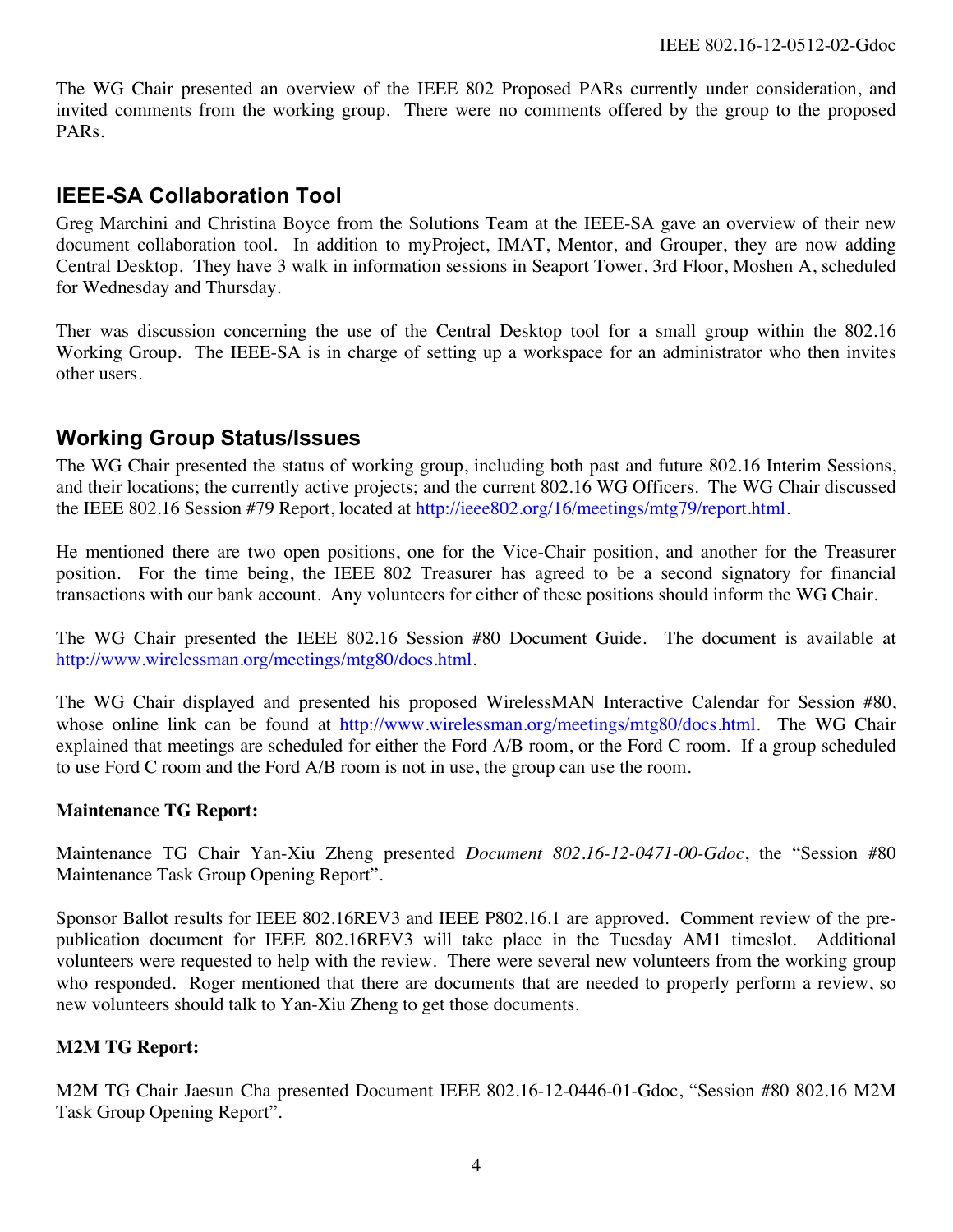The WG Chair presented an overview of the IEEE 802 Proposed PARs currently under consideration, and invited comments from the working group. There were no comments offered by the group to the proposed PARs.

### **IEEE-SA Collaboration Tool**

Greg Marchini and Christina Boyce from the Solutions Team at the IEEE-SA gave an overview of their new document collaboration tool. In addition to myProject, IMAT, Mentor, and Grouper, they are now adding Central Desktop. They have 3 walk in information sessions in Seaport Tower, 3rd Floor, Moshen A, scheduled for Wednesday and Thursday.

Ther was discussion concerning the use of the Central Desktop tool for a small group within the 802.16 Working Group. The IEEE-SA is in charge of setting up a workspace for an administrator who then invites other users.

### **Working Group Status/Issues**

The WG Chair presented the status of working group, including both past and future 802.16 Interim Sessions, and their locations; the currently active projects; and the current 802.16 WG Officers. The WG Chair discussed the IEEE 802.16 Session #79 Report, located at http://ieee802.org/16/meetings/mtg79/report.html.

He mentioned there are two open positions, one for the Vice-Chair position, and another for the Treasurer position. For the time being, the IEEE 802 Treasurer has agreed to be a second signatory for financial transactions with our bank account. Any volunteers for either of these positions should inform the WG Chair.

The WG Chair presented the IEEE 802.16 Session #80 Document Guide. The document is available at http://www.wirelessman.org/meetings/mtg80/docs.html.

The WG Chair displayed and presented his proposed WirelessMAN Interactive Calendar for Session #80, whose online link can be found at http://www.wirelessman.org/meetings/mtg80/docs.html. The WG Chair explained that meetings are scheduled for either the Ford A/B room, or the Ford C room. If a group scheduled to use Ford C room and the Ford A/B room is not in use, the group can use the room.

#### **Maintenance TG Report:**

Maintenance TG Chair Yan-Xiu Zheng presented *Document 802.16-12-0471-00-Gdoc*, the "Session #80 Maintenance Task Group Opening Report".

Sponsor Ballot results for IEEE 802.16REV3 and IEEE P802.16.1 are approved. Comment review of the prepublication document for IEEE 802.16REV3 will take place in the Tuesday AM1 timeslot. Additional volunteers were requested to help with the review. There were several new volunteers from the working group who responded. Roger mentioned that there are documents that are needed to properly perform a review, so new volunteers should talk to Yan-Xiu Zheng to get those documents.

#### **M2M TG Report:**

M2M TG Chair Jaesun Cha presented Document IEEE 802.16-12-0446-01-Gdoc, "Session #80 802.16 M2M Task Group Opening Report".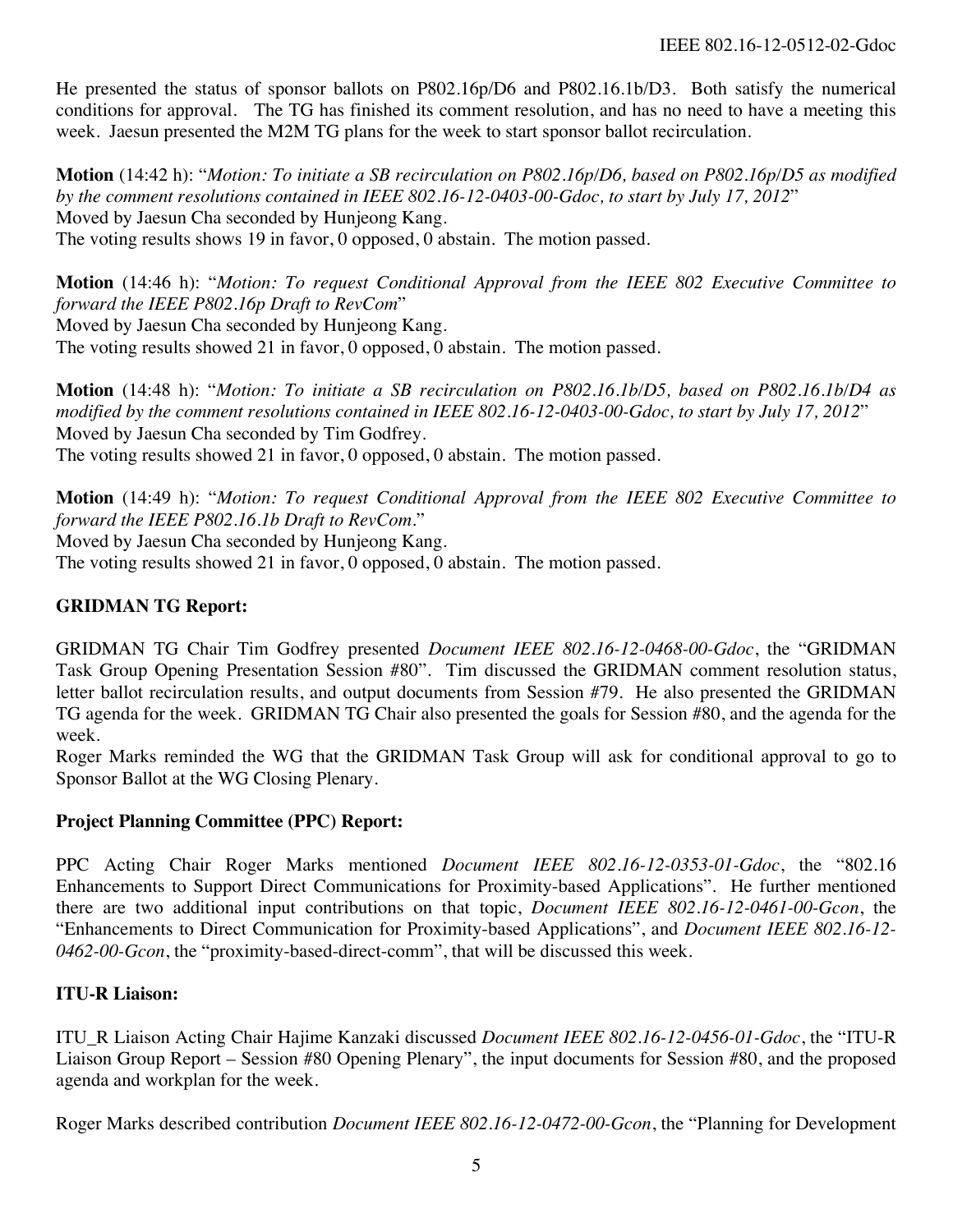He presented the status of sponsor ballots on P802.16p/D6 and P802.16.1b/D3. Both satisfy the numerical conditions for approval. The TG has finished its comment resolution, and has no need to have a meeting this week. Jaesun presented the M2M TG plans for the week to start sponsor ballot recirculation.

**Motion** (14:42 h): "*Motion: To initiate a SB recirculation on P802.16p/D6, based on P802.16p/D5 as modified by the comment resolutions contained in IEEE 802.16-12-0403-00-Gdoc, to start by July 17, 2012*" Moved by Jaesun Cha seconded by Hunjeong Kang. The voting results shows 19 in favor, 0 opposed, 0 abstain. The motion passed.

**Motion** (14:46 h): "*Motion: To request Conditional Approval from the IEEE 802 Executive Committee to forward the IEEE P802.16p Draft to RevCom*" Moved by Jaesun Cha seconded by Hunjeong Kang.

The voting results showed 21 in favor, 0 opposed, 0 abstain. The motion passed.

**Motion** (14:48 h): "*Motion: To initiate a SB recirculation on P802.16.1b/D5, based on P802.16.1b/D4 as modified by the comment resolutions contained in IEEE 802.16-12-0403-00-Gdoc, to start by July 17, 2012*" Moved by Jaesun Cha seconded by Tim Godfrey. The voting results showed 21 in favor, 0 opposed, 0 abstain. The motion passed.

**Motion** (14:49 h): "*Motion: To request Conditional Approval from the IEEE 802 Executive Committee to forward the IEEE P802.16.1b Draft to RevCom.*"

Moved by Jaesun Cha seconded by Hunjeong Kang.

The voting results showed 21 in favor, 0 opposed, 0 abstain. The motion passed.

#### **GRIDMAN TG Report:**

GRIDMAN TG Chair Tim Godfrey presented *Document IEEE 802.16-12-0468-00-Gdoc*, the "GRIDMAN Task Group Opening Presentation Session #80". Tim discussed the GRIDMAN comment resolution status, letter ballot recirculation results, and output documents from Session #79. He also presented the GRIDMAN TG agenda for the week. GRIDMAN TG Chair also presented the goals for Session #80, and the agenda for the week.

Roger Marks reminded the WG that the GRIDMAN Task Group will ask for conditional approval to go to Sponsor Ballot at the WG Closing Plenary.

#### **Project Planning Committee (PPC) Report:**

PPC Acting Chair Roger Marks mentioned *Document IEEE 802.16-12-0353-01-Gdoc*, the "802.16 Enhancements to Support Direct Communications for Proximity-based Applications". He further mentioned there are two additional input contributions on that topic, *Document IEEE 802.16-12-0461-00-Gcon*, the "Enhancements to Direct Communication for Proximity-based Applications", and *Document IEEE 802.16-12- 0462-00-Gcon*, the "proximity-based-direct-comm", that will be discussed this week.

#### **ITU-R Liaison:**

ITU\_R Liaison Acting Chair Hajime Kanzaki discussed *Document IEEE 802.16-12-0456-01-Gdoc*, the "ITU-R Liaison Group Report – Session #80 Opening Plenary", the input documents for Session #80, and the proposed agenda and workplan for the week.

Roger Marks described contribution *Document IEEE 802.16-12-0472-00-Gcon*, the "Planning for Development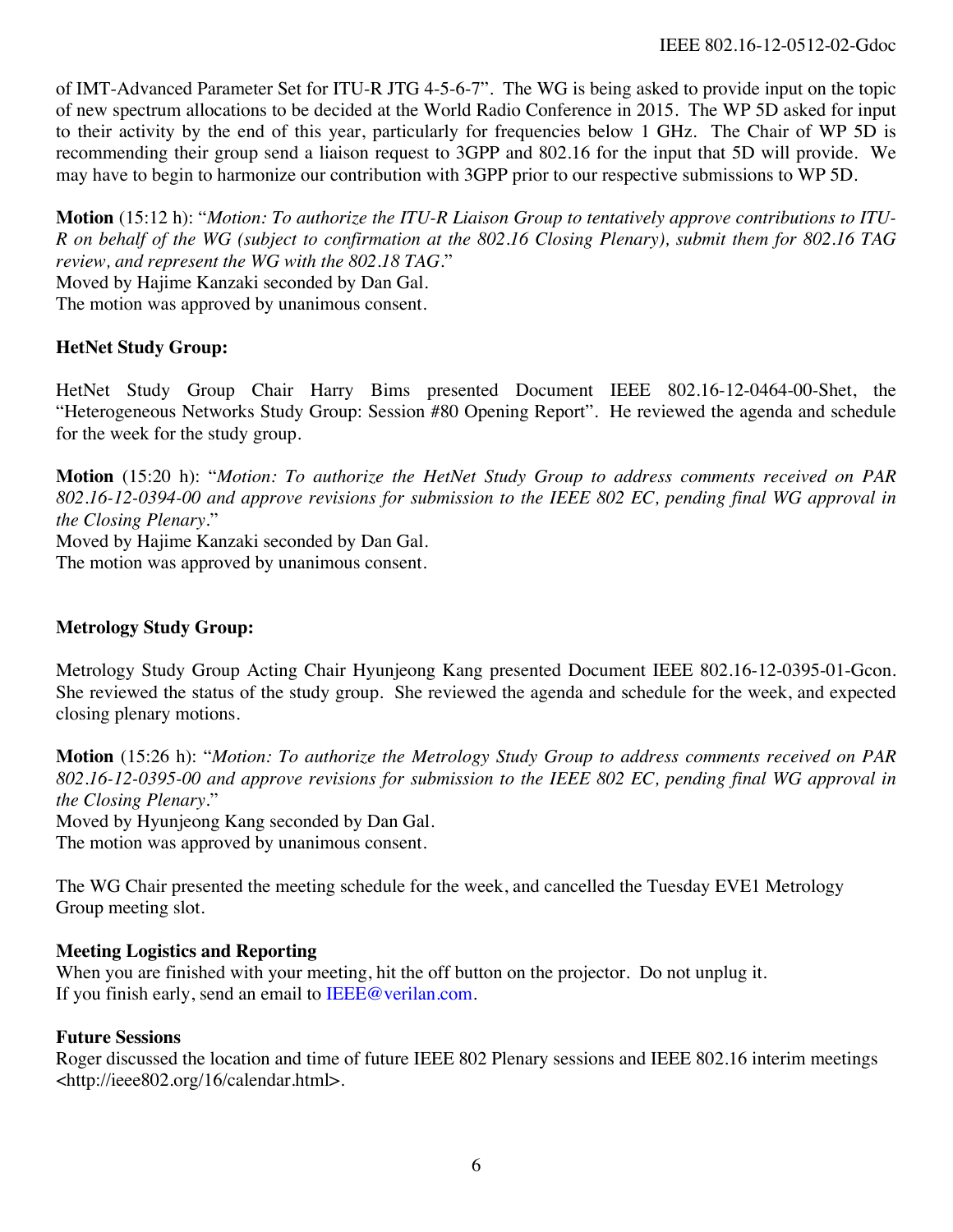of IMT-Advanced Parameter Set for ITU-R JTG 4-5-6-7". The WG is being asked to provide input on the topic of new spectrum allocations to be decided at the World Radio Conference in 2015. The WP 5D asked for input to their activity by the end of this year, particularly for frequencies below 1 GHz. The Chair of WP 5D is recommending their group send a liaison request to 3GPP and 802.16 for the input that 5D will provide. We may have to begin to harmonize our contribution with 3GPP prior to our respective submissions to WP 5D.

**Motion** (15:12 h): "*Motion: To authorize the ITU-R Liaison Group to tentatively approve contributions to ITU-R on behalf of the WG (subject to confirmation at the 802.16 Closing Plenary), submit them for 802.16 TAG review, and represent the WG with the 802.18 TAG.*" Moved by Hajime Kanzaki seconded by Dan Gal.

The motion was approved by unanimous consent.

#### **HetNet Study Group:**

HetNet Study Group Chair Harry Bims presented Document IEEE 802.16-12-0464-00-Shet, the "Heterogeneous Networks Study Group: Session #80 Opening Report". He reviewed the agenda and schedule for the week for the study group.

**Motion** (15:20 h): "*Motion: To authorize the HetNet Study Group to address comments received on PAR 802.16-12-0394-00 and approve revisions for submission to the IEEE 802 EC, pending final WG approval in the Closing Plenary.*"

Moved by Hajime Kanzaki seconded by Dan Gal. The motion was approved by unanimous consent.

#### **Metrology Study Group:**

Metrology Study Group Acting Chair Hyunjeong Kang presented Document IEEE 802.16-12-0395-01-Gcon. She reviewed the status of the study group. She reviewed the agenda and schedule for the week, and expected closing plenary motions.

**Motion** (15:26 h): "*Motion: To authorize the Metrology Study Group to address comments received on PAR 802.16-12-0395-00 and approve revisions for submission to the IEEE 802 EC, pending final WG approval in the Closing Plenary.*" Moved by Hyunjeong Kang seconded by Dan Gal.

The motion was approved by unanimous consent.

The WG Chair presented the meeting schedule for the week, and cancelled the Tuesday EVE1 Metrology Group meeting slot.

#### **Meeting Logistics and Reporting**

When you are finished with your meeting, hit the off button on the projector. Do not unplug it. If you finish early, send an email to IEEE@verilan.com.

#### **Future Sessions**

Roger discussed the location and time of future IEEE 802 Plenary sessions and IEEE 802.16 interim meetings <http://ieee802.org/16/calendar.html>.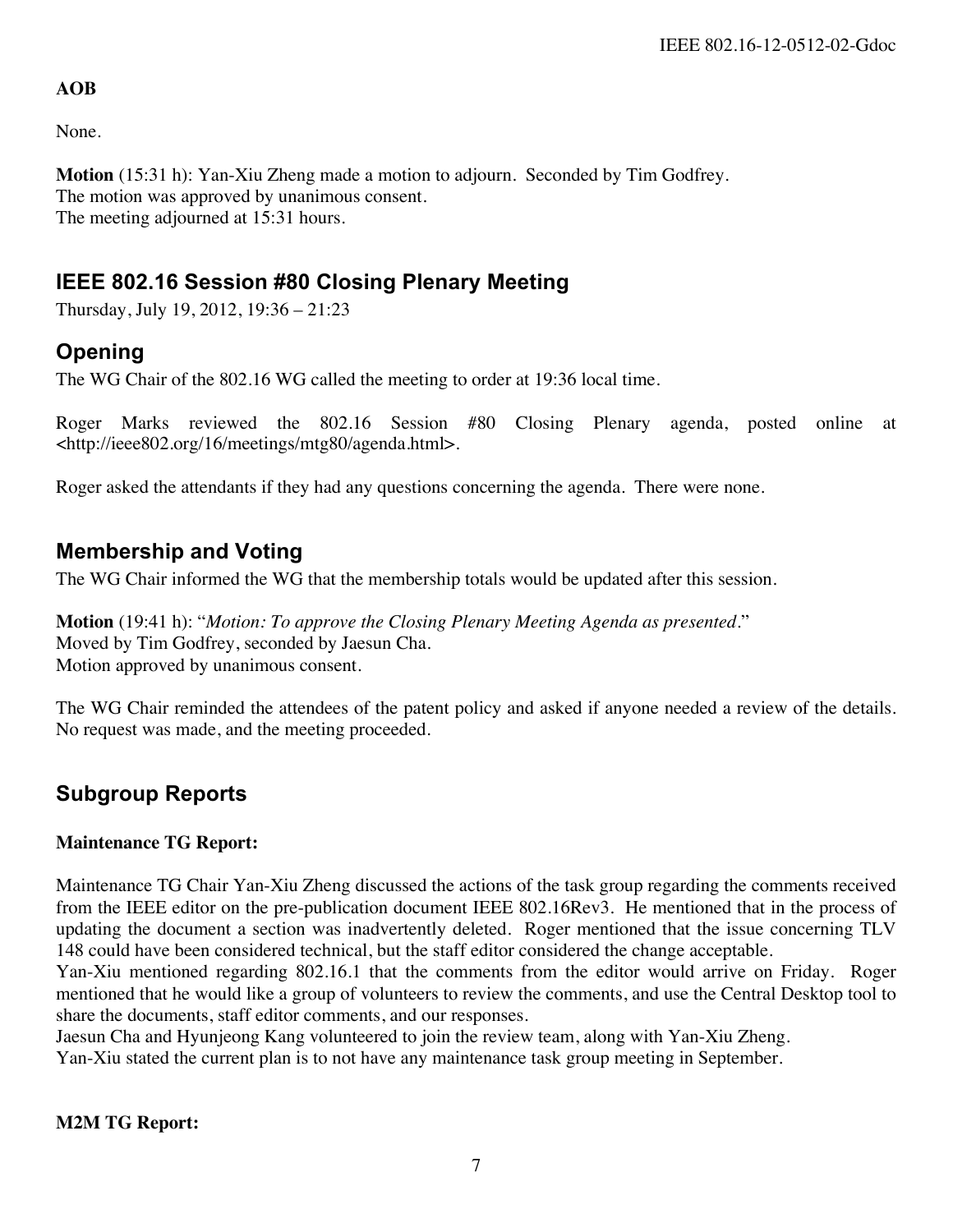#### **AOB**

None.

**Motion** (15:31 h): Yan-Xiu Zheng made a motion to adjourn. Seconded by Tim Godfrey. The motion was approved by unanimous consent. The meeting adjourned at 15:31 hours.

### **IEEE 802.16 Session #80 Closing Plenary Meeting**

Thursday, July 19, 2012, 19:36 – 21:23

### **Opening**

The WG Chair of the 802.16 WG called the meeting to order at 19:36 local time.

Roger Marks reviewed the 802.16 Session #80 Closing Plenary agenda, posted online at <http://ieee802.org/16/meetings/mtg80/agenda.html>.

Roger asked the attendants if they had any questions concerning the agenda. There were none.

### **Membership and Voting**

The WG Chair informed the WG that the membership totals would be updated after this session.

**Motion** (19:41 h): "*Motion: To approve the Closing Plenary Meeting Agenda as presented.*" Moved by Tim Godfrey, seconded by Jaesun Cha. Motion approved by unanimous consent.

The WG Chair reminded the attendees of the patent policy and asked if anyone needed a review of the details. No request was made, and the meeting proceeded.

### **Subgroup Reports**

#### **Maintenance TG Report:**

Maintenance TG Chair Yan-Xiu Zheng discussed the actions of the task group regarding the comments received from the IEEE editor on the pre-publication document IEEE 802.16Rev3. He mentioned that in the process of updating the document a section was inadvertently deleted. Roger mentioned that the issue concerning TLV 148 could have been considered technical, but the staff editor considered the change acceptable.

Yan-Xiu mentioned regarding 802.16.1 that the comments from the editor would arrive on Friday. Roger mentioned that he would like a group of volunteers to review the comments, and use the Central Desktop tool to share the documents, staff editor comments, and our responses.

Jaesun Cha and Hyunjeong Kang volunteered to join the review team, along with Yan-Xiu Zheng.

Yan-Xiu stated the current plan is to not have any maintenance task group meeting in September.

#### **M2M TG Report:**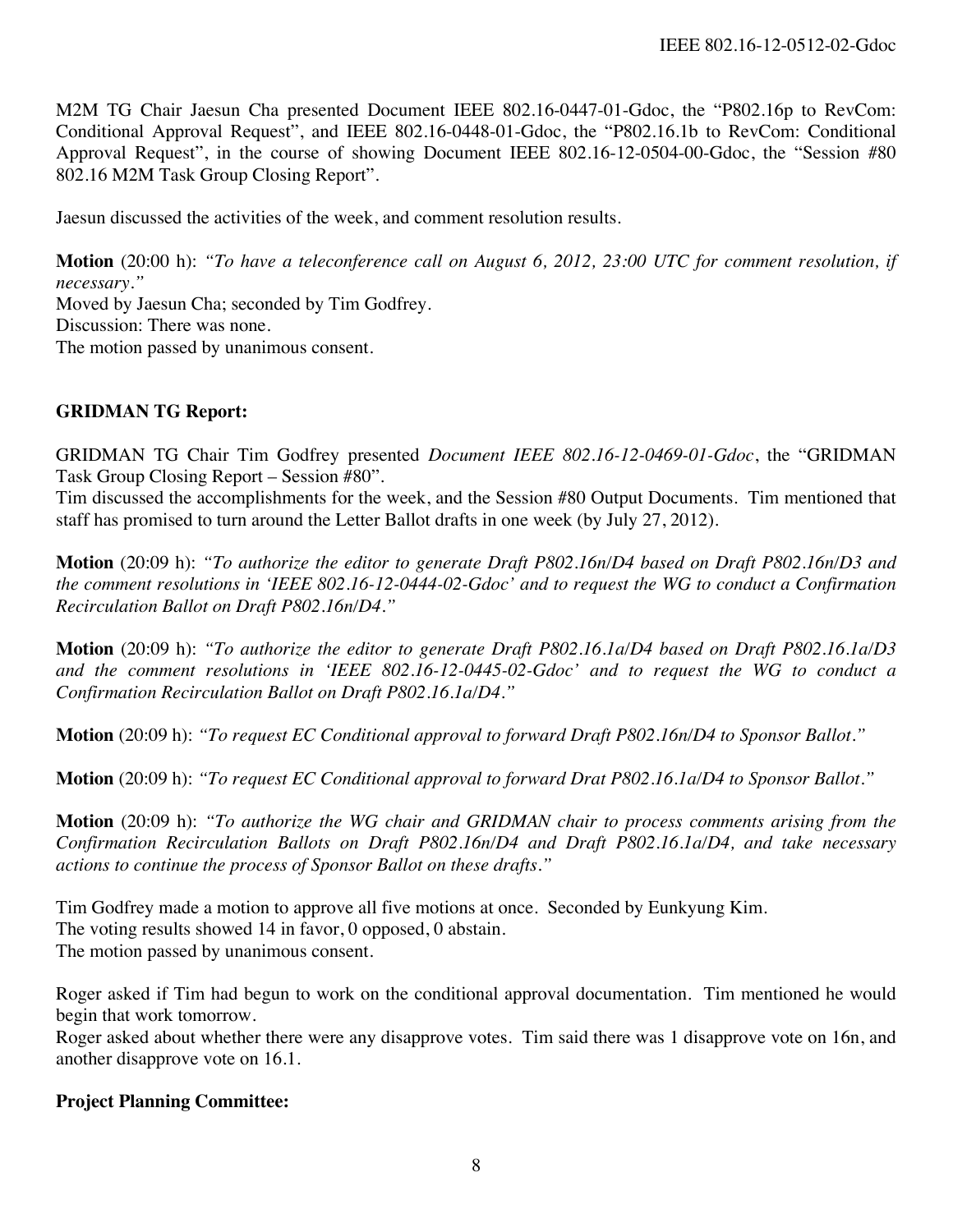M2M TG Chair Jaesun Cha presented Document IEEE 802.16-0447-01-Gdoc, the "P802.16p to RevCom: Conditional Approval Request", and IEEE 802.16-0448-01-Gdoc, the "P802.16.1b to RevCom: Conditional Approval Request", in the course of showing Document IEEE 802.16-12-0504-00-Gdoc, the "Session #80 802.16 M2M Task Group Closing Report".

Jaesun discussed the activities of the week, and comment resolution results.

**Motion** (20:00 h): *"To have a teleconference call on August 6, 2012, 23:00 UTC for comment resolution, if necessary."* Moved by Jaesun Cha; seconded by Tim Godfrey. Discussion: There was none. The motion passed by unanimous consent.

#### **GRIDMAN TG Report:**

GRIDMAN TG Chair Tim Godfrey presented *Document IEEE 802.16-12-0469-01-Gdoc*, the "GRIDMAN Task Group Closing Report – Session #80".

Tim discussed the accomplishments for the week, and the Session #80 Output Documents. Tim mentioned that staff has promised to turn around the Letter Ballot drafts in one week (by July 27, 2012).

**Motion** (20:09 h): *"To authorize the editor to generate Draft P802.16n/D4 based on Draft P802.16n/D3 and the comment resolutions in 'IEEE 802.16-12-0444-02-Gdoc' and to request the WG to conduct a Confirmation Recirculation Ballot on Draft P802.16n/D4."*

**Motion** (20:09 h): *"To authorize the editor to generate Draft P802.16.1a/D4 based on Draft P802.16.1a/D3 and the comment resolutions in 'IEEE 802.16-12-0445-02-Gdoc' and to request the WG to conduct a Confirmation Recirculation Ballot on Draft P802.16.1a/D4."*

**Motion** (20:09 h): *"To request EC Conditional approval to forward Draft P802.16n/D4 to Sponsor Ballot."*

**Motion** (20:09 h): *"To request EC Conditional approval to forward Drat P802.16.1a/D4 to Sponsor Ballot."*

**Motion** (20:09 h): *"To authorize the WG chair and GRIDMAN chair to process comments arising from the Confirmation Recirculation Ballots on Draft P802.16n/D4 and Draft P802.16.1a/D4, and take necessary actions to continue the process of Sponsor Ballot on these drafts."*

Tim Godfrey made a motion to approve all five motions at once. Seconded by Eunkyung Kim. The voting results showed 14 in favor, 0 opposed, 0 abstain. The motion passed by unanimous consent.

Roger asked if Tim had begun to work on the conditional approval documentation. Tim mentioned he would begin that work tomorrow.

Roger asked about whether there were any disapprove votes. Tim said there was 1 disapprove vote on 16n, and another disapprove vote on 16.1.

#### **Project Planning Committee:**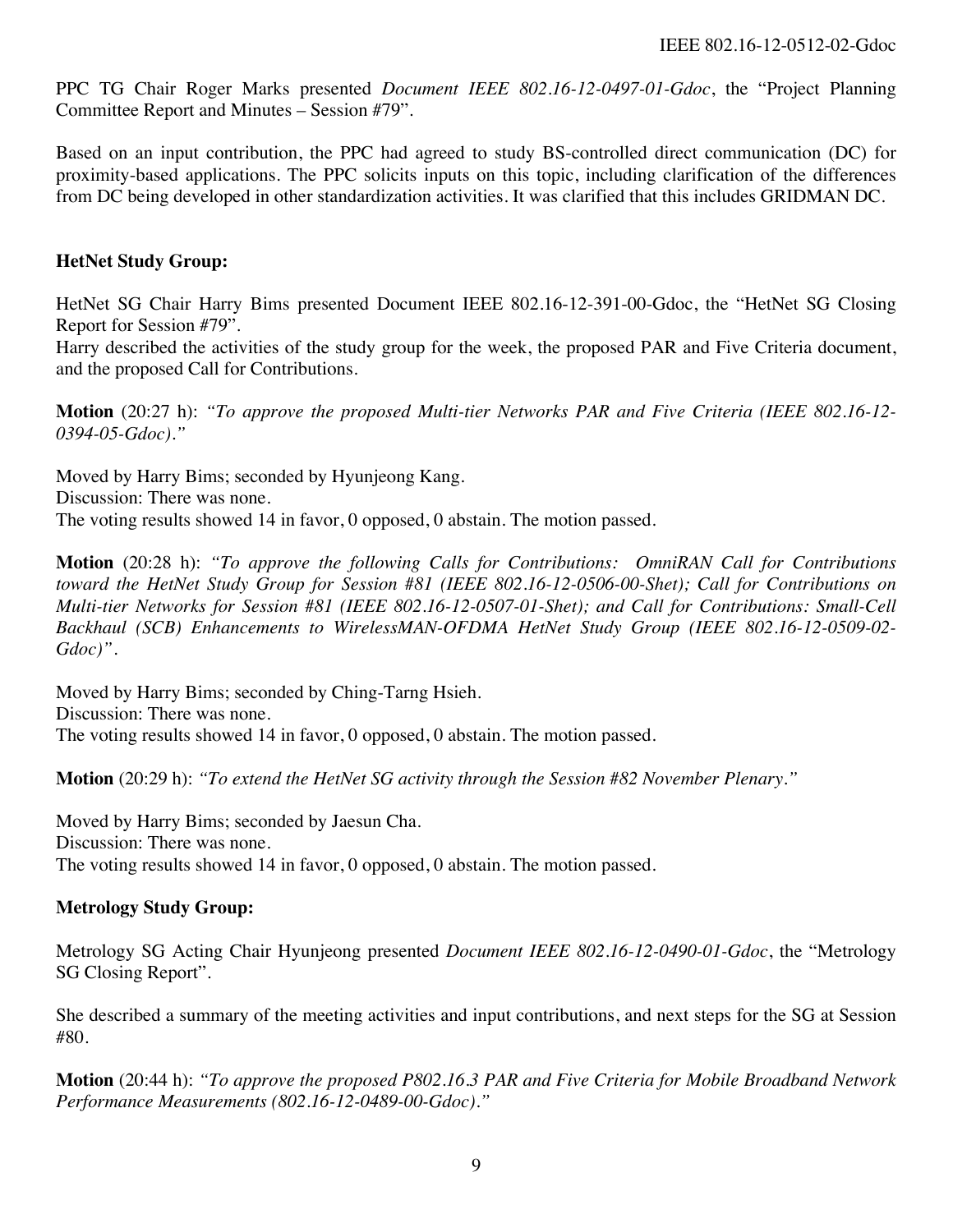PPC TG Chair Roger Marks presented *Document IEEE 802.16-12-0497-01-Gdoc*, the "Project Planning Committee Report and Minutes – Session #79".

Based on an input contribution, the PPC had agreed to study BS-controlled direct communication (DC) for proximity-based applications. The PPC solicits inputs on this topic, including clarification of the differences from DC being developed in other standardization activities. It was clarified that this includes GRIDMAN DC.

#### **HetNet Study Group:**

HetNet SG Chair Harry Bims presented Document IEEE 802.16-12-391-00-Gdoc, the "HetNet SG Closing Report for Session #79".

Harry described the activities of the study group for the week, the proposed PAR and Five Criteria document, and the proposed Call for Contributions.

**Motion** (20:27 h): *"To approve the proposed Multi-tier Networks PAR and Five Criteria (IEEE 802.16-12- 0394-05-Gdoc)."*

Moved by Harry Bims; seconded by Hyunjeong Kang. Discussion: There was none. The voting results showed 14 in favor, 0 opposed, 0 abstain. The motion passed.

**Motion** (20:28 h): *"To approve the following Calls for Contributions: OmniRAN Call for Contributions toward the HetNet Study Group for Session #81 (IEEE 802.16-12-0506-00-Shet); Call for Contributions on Multi-tier Networks for Session #81 (IEEE 802.16-12-0507-01-Shet); and Call for Contributions: Small-Cell Backhaul (SCB) Enhancements to WirelessMAN-OFDMA HetNet Study Group (IEEE 802.16-12-0509-02- Gdoc)".*

Moved by Harry Bims; seconded by Ching-Tarng Hsieh. Discussion: There was none. The voting results showed 14 in favor, 0 opposed, 0 abstain. The motion passed.

**Motion** (20:29 h): *"To extend the HetNet SG activity through the Session #82 November Plenary."*

Moved by Harry Bims; seconded by Jaesun Cha. Discussion: There was none. The voting results showed 14 in favor, 0 opposed, 0 abstain. The motion passed.

#### **Metrology Study Group:**

Metrology SG Acting Chair Hyunjeong presented *Document IEEE 802.16-12-0490-01-Gdoc*, the "Metrology SG Closing Report".

She described a summary of the meeting activities and input contributions, and next steps for the SG at Session #80.

**Motion** (20:44 h): *"To approve the proposed P802.16.3 PAR and Five Criteria for Mobile Broadband Network Performance Measurements (802.16-12-0489-00-Gdoc)."*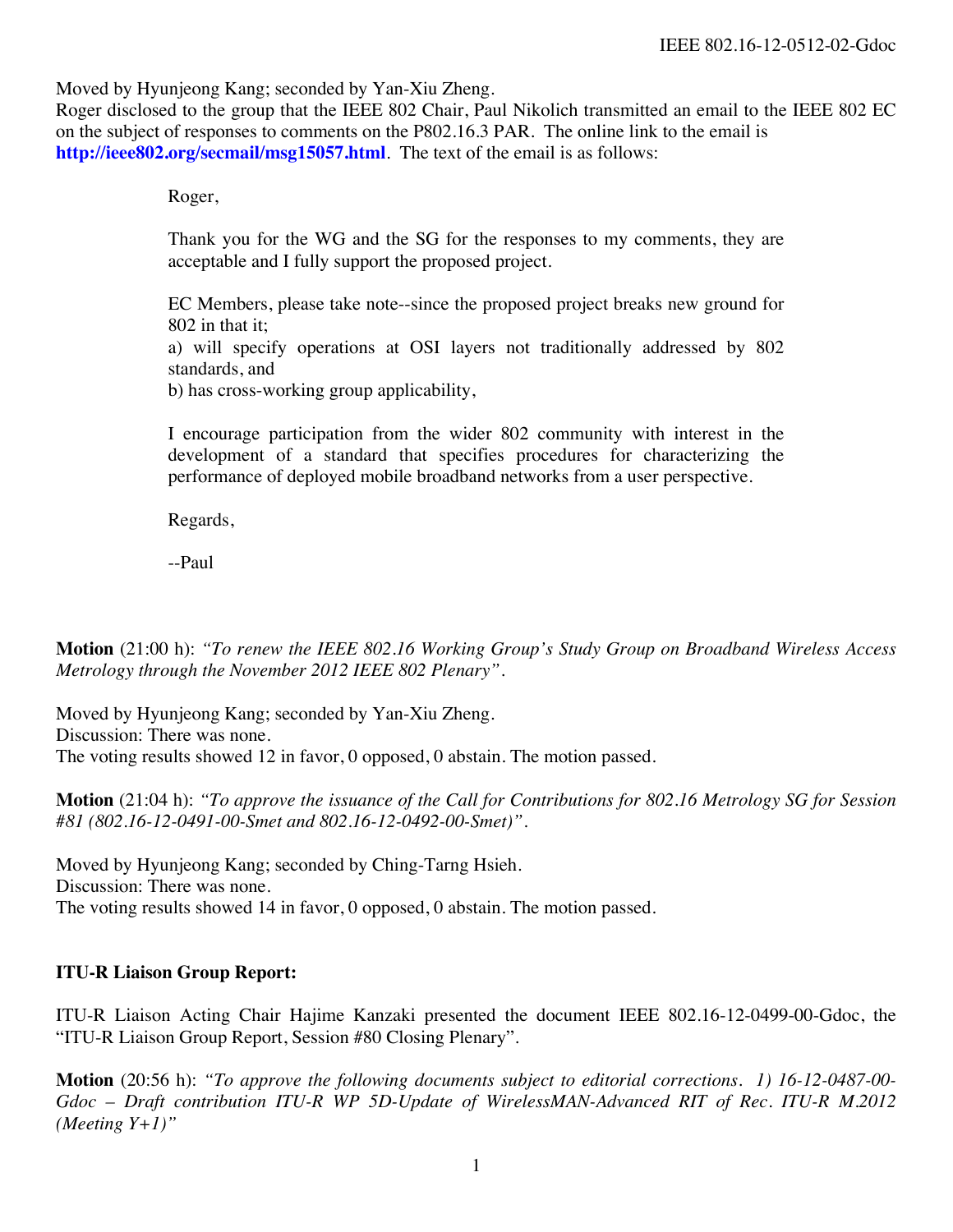Moved by Hyunjeong Kang; seconded by Yan-Xiu Zheng.

Roger disclosed to the group that the IEEE 802 Chair, Paul Nikolich transmitted an email to the IEEE 802 EC on the subject of responses to comments on the P802.16.3 PAR. The online link to the email is **http://ieee802.org/secmail/msg15057.html**. The text of the email is as follows:

Roger,

Thank you for the WG and the SG for the responses to my comments, they are acceptable and I fully support the proposed project.

EC Members, please take note--since the proposed project breaks new ground for 802 in that it;

a) will specify operations at OSI layers not traditionally addressed by 802 standards, and

b) has cross-working group applicability,

I encourage participation from the wider 802 community with interest in the development of a standard that specifies procedures for characterizing the performance of deployed mobile broadband networks from a user perspective.

Regards,

--Paul

**Motion** (21:00 h): *"To renew the IEEE 802.16 Working Group's Study Group on Broadband Wireless Access Metrology through the November 2012 IEEE 802 Plenary".*

Moved by Hyunjeong Kang; seconded by Yan-Xiu Zheng. Discussion: There was none. The voting results showed 12 in favor, 0 opposed, 0 abstain. The motion passed.

**Motion** (21:04 h): *"To approve the issuance of the Call for Contributions for 802.16 Metrology SG for Session #81 (802.16-12-0491-00-Smet and 802.16-12-0492-00-Smet)".*

Moved by Hyunjeong Kang; seconded by Ching-Tarng Hsieh. Discussion: There was none. The voting results showed 14 in favor, 0 opposed, 0 abstain. The motion passed.

#### **ITU-R Liaison Group Report:**

ITU-R Liaison Acting Chair Hajime Kanzaki presented the document IEEE 802.16-12-0499-00-Gdoc, the "ITU-R Liaison Group Report, Session #80 Closing Plenary".

**Motion** (20:56 h): *"To approve the following documents subject to editorial corrections. 1) 16-12-0487-00- Gdoc – Draft contribution ITU-R WP 5D-Update of WirelessMAN-Advanced RIT of Rec. ITU-R M.2012 (Meeting Y+1)"*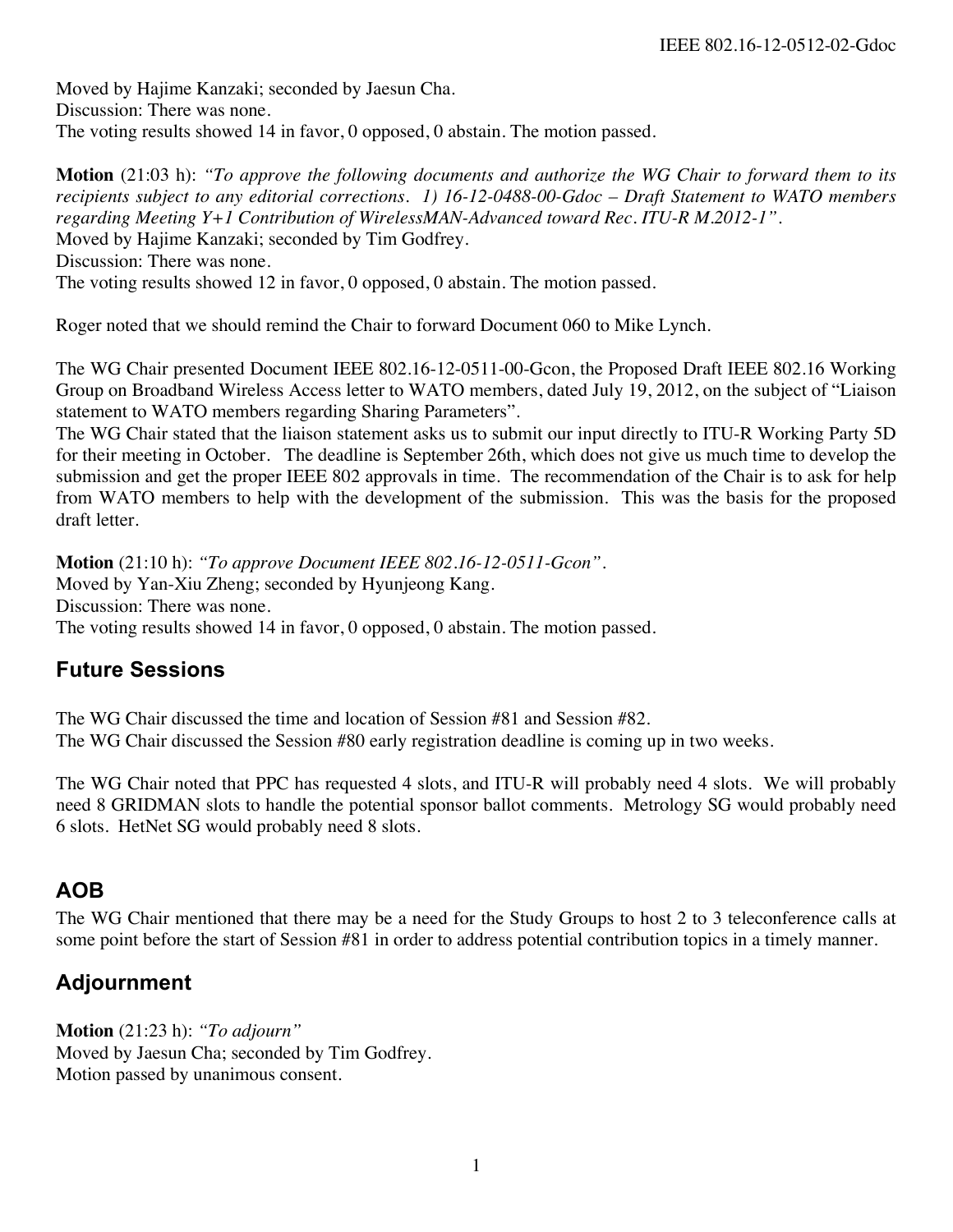Moved by Hajime Kanzaki; seconded by Jaesun Cha. Discussion: There was none. The voting results showed 14 in favor, 0 opposed, 0 abstain. The motion passed.

**Motion** (21:03 h): *"To approve the following documents and authorize the WG Chair to forward them to its recipients subject to any editorial corrections. 1) 16-12-0488-00-Gdoc – Draft Statement to WATO members regarding Meeting Y+1 Contribution of WirelessMAN-Advanced toward Rec. ITU-R M.2012-1".* Moved by Hajime Kanzaki; seconded by Tim Godfrey. Discussion: There was none. The voting results showed 12 in favor, 0 opposed, 0 abstain. The motion passed.

Roger noted that we should remind the Chair to forward Document 060 to Mike Lynch.

The WG Chair presented Document IEEE 802.16-12-0511-00-Gcon, the Proposed Draft IEEE 802.16 Working Group on Broadband Wireless Access letter to WATO members, dated July 19, 2012, on the subject of "Liaison statement to WATO members regarding Sharing Parameters".

The WG Chair stated that the liaison statement asks us to submit our input directly to ITU-R Working Party 5D for their meeting in October. The deadline is September 26th, which does not give us much time to develop the submission and get the proper IEEE 802 approvals in time. The recommendation of the Chair is to ask for help from WATO members to help with the development of the submission. This was the basis for the proposed draft letter.

**Motion** (21:10 h): *"To approve Document IEEE 802.16-12-0511-Gcon".* Moved by Yan-Xiu Zheng; seconded by Hyunjeong Kang. Discussion: There was none. The voting results showed 14 in favor, 0 opposed, 0 abstain. The motion passed.

### **Future Sessions**

The WG Chair discussed the time and location of Session #81 and Session #82. The WG Chair discussed the Session #80 early registration deadline is coming up in two weeks.

The WG Chair noted that PPC has requested 4 slots, and ITU-R will probably need 4 slots. We will probably need 8 GRIDMAN slots to handle the potential sponsor ballot comments. Metrology SG would probably need 6 slots. HetNet SG would probably need 8 slots.

### **AOB**

The WG Chair mentioned that there may be a need for the Study Groups to host 2 to 3 teleconference calls at some point before the start of Session #81 in order to address potential contribution topics in a timely manner.

### **Adjournment**

**Motion** (21:23 h): *"To adjourn"* Moved by Jaesun Cha; seconded by Tim Godfrey. Motion passed by unanimous consent.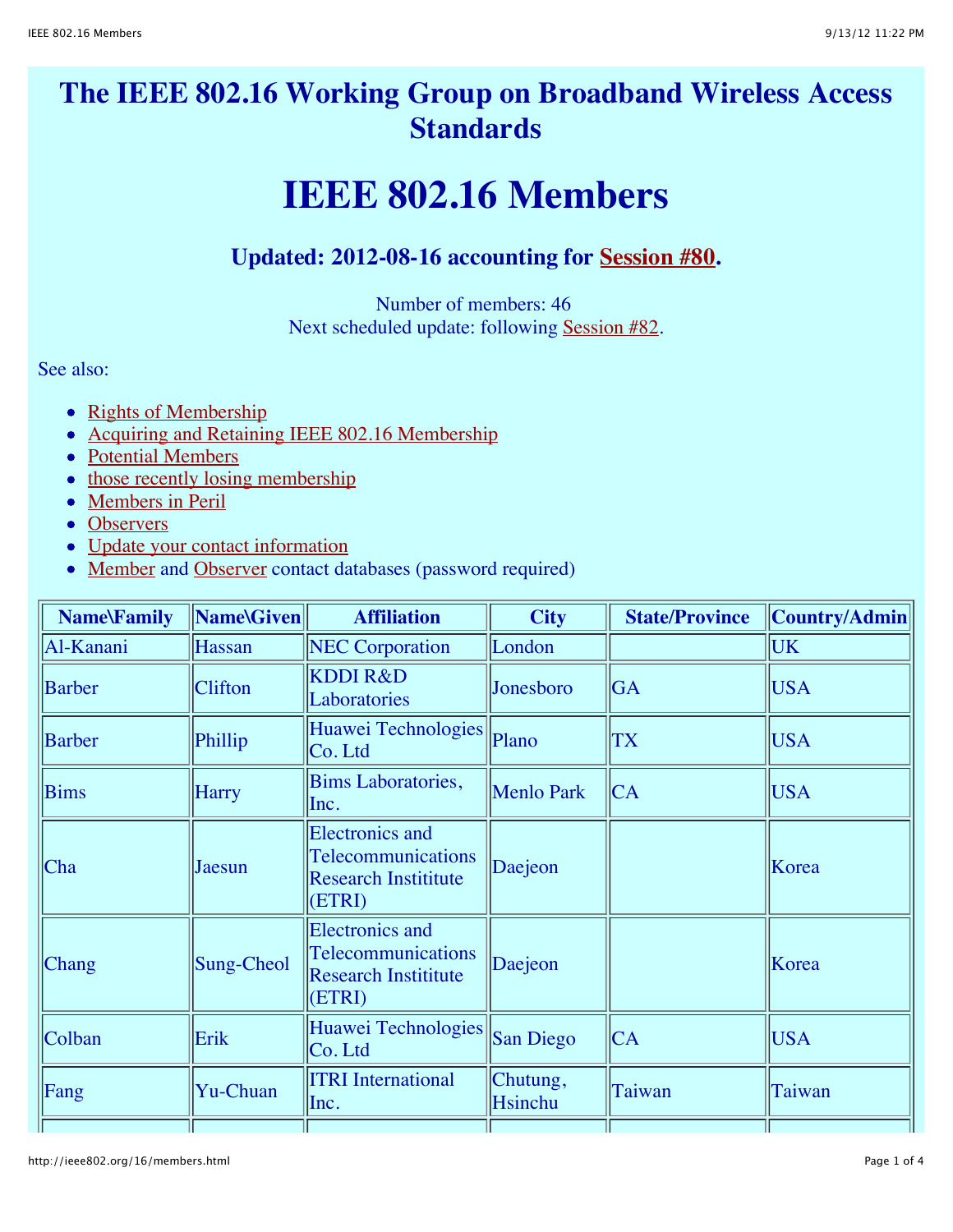## **The IEEE 802.16 Working Group on Broadband Wireless Access Standards**

# **IEEE 802.16 Members**

### **Updated: 2012-08-16 accounting for [Session #80.](http://ieee802.org/16/meetings/mtg80/index.html)**

Number of members: 46 Next scheduled update: following [Session #82.](http://ieee802.org/16/meetings/mtg82/index.html)

See also:

- [Rights of Membership](http://ieee802.org/16/involve.html)
- [Acquiring and Retaining IEEE 802.16 Membership](http://ieee802.org/16/membership.html)
- [Potential Members](http://ieee802.org/16/members_pot.html)
- [those recently losing membership](http://ieee802.org/16/members_ex.html)
- [Members in Peril](http://ieee802.org/16/members_peril.html)
- [Observers](http://ieee802.org/16/observers.html)
- [Update your contact information](http://ieee802.org/16/form.html)
- [Member](http://ieee802.org/16/private/members/members.html) and [Observer](http://ieee802.org/16/private/members/observers.html) contact databases (password required)

| <b>Name\Family</b> | Name\Given      | <b>Affiliation</b>                                                                           | <b>City</b>                | <b>State/Province</b> | Country/Admin |
|--------------------|-----------------|----------------------------------------------------------------------------------------------|----------------------------|-----------------------|---------------|
| Al-Kanani          | Hassan          | <b>NEC</b> Corporation                                                                       | London                     |                       | <b>UK</b>     |
| <b>Barber</b>      | <b>Clifton</b>  | KDDI R&D<br>Laboratories                                                                     | Jonesboro                  | <b>GA</b>             | <b>USA</b>    |
| <b>Barber</b>      | Phillip         | Huawei Technologies<br>$Co.$ Ltd                                                             | Plano                      | TX                    | <b>USA</b>    |
| <b>Bims</b>        | <b>Harry</b>    | <b>Bims Laboratories,</b><br>Inc.                                                            | <b>Menlo Park</b>          | CA                    | <b>USA</b>    |
| Cha                | Jaesun          | <b>Electronics and</b><br><b>Telecommunications</b><br><b>Research Instititute</b><br>(ETRI) | Daejeon                    |                       | Korea         |
| <b>Chang</b>       | Sung-Cheol      | <b>Electronics</b> and<br>Telecommunications<br><b>Research Instititute</b><br>(ETRI)        | Daejeon                    |                       | Korea         |
| Colban             | Erik            | Huawei Technologies<br>Co. Ltd                                                               | <b>San Diego</b>           | CA                    | <b>USA</b>    |
| Fang               | <b>Yu-Chuan</b> | <b>ITRI</b> International<br>Inc.                                                            | Chutung,<br><b>Hsinchu</b> | Taiwan                | Taiwan        |
|                    |                 |                                                                                              |                            |                       |               |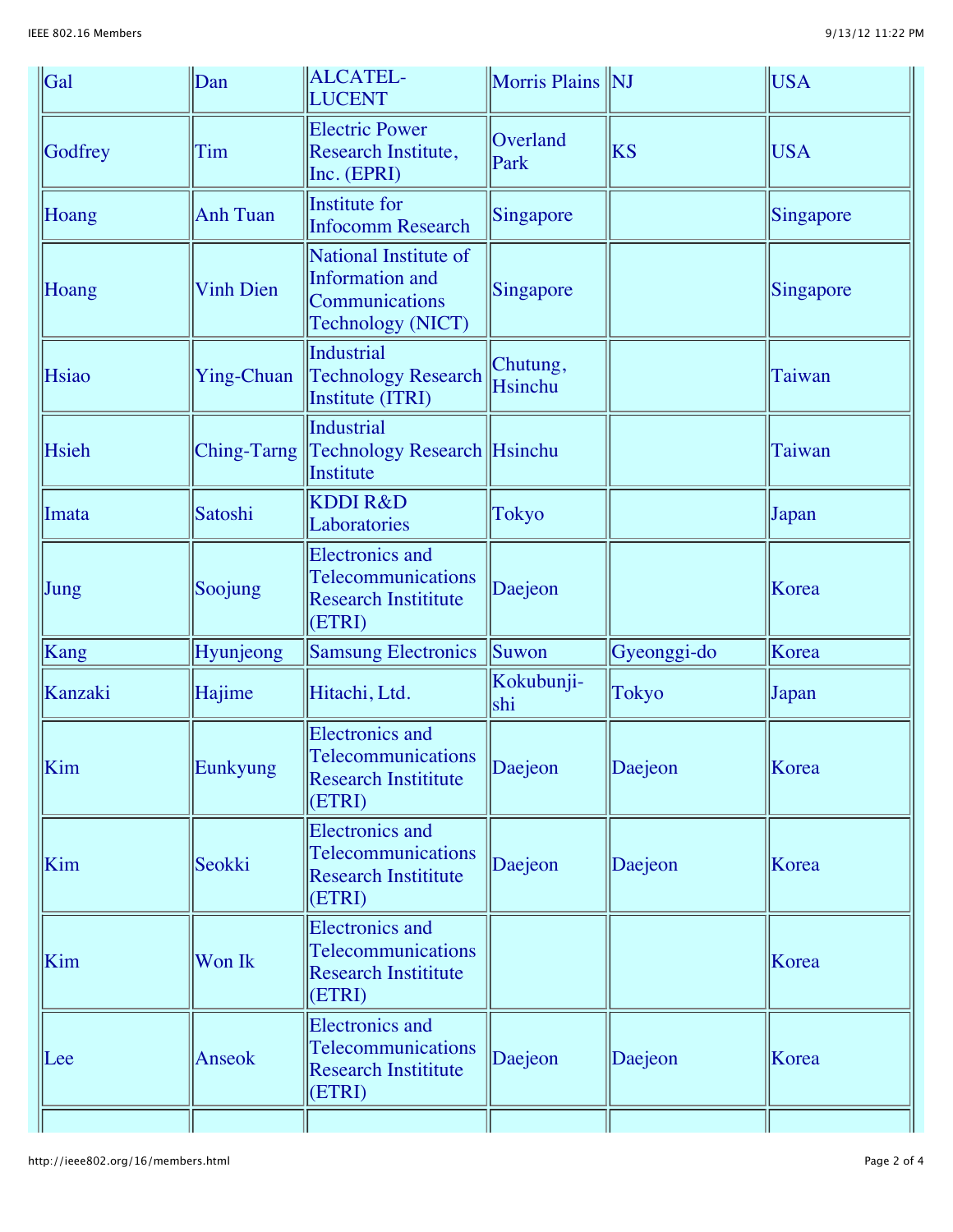| $\overline{Gal}$ | Dan               | ALCATEL-<br><b>LUCENT</b>                                                              | Morris Plains NJ    |              | USA        |
|------------------|-------------------|----------------------------------------------------------------------------------------|---------------------|--------------|------------|
| Godfrey          | Tim               | <b>Electric Power</b><br>Research Institute,<br>Inc. (EPRI)                            | Overland<br>Park    | <b>KS</b>    | <b>USA</b> |
| Hoang            | <b>Anh Tuan</b>   | Institute for<br><b>Infocomm Research</b>                                              | Singapore           |              | Singapore  |
| Hoang            | <b>Vinh Dien</b>  | National Institute of<br>Information and<br>Communications<br>Technology (NICT)        | Singapore           |              | Singapore  |
| Hsiao            | <b>Ying-Chuan</b> | Industrial<br>Technology Research<br>Institute (ITRI)                                  | Chutung,<br>Hsinchu |              | Taiwan     |
| Hsieh            | Ching-Tarng       | Industrial<br>Technology Research Hsinchu<br>Institute                                 |                     |              | Taiwan     |
| Imata            | Satoshi           | <b>KDDI R&amp;D</b><br>Laboratories                                                    | <b>Tokyo</b>        |              | Japan      |
| Jung             | Soojung           | <b>Electronics</b> and<br>Telecommunications<br><b>Research Instititute</b><br> (ETRI) | Daejeon             |              | Korea      |
| Kang             | Hyunjeong         | <b>Samsung Electronics</b>                                                             | Suwon               | Gyeonggi-do  | Korea      |
| Kanzaki          | Hajime            | Hitachi, Ltd.                                                                          | Kokubunji-<br>shi   | <b>Tokyo</b> | Japan      |
| Kim              | Eunkyung          | Electronics and<br>Telecommunications<br><b>Research Instititute</b><br>ETRI)          | Daejeon             | Daejeon      | Korea      |
| Kim              | Seokki            | <b>Electronics</b> and<br>Telecommunications<br><b>Research Instititute</b><br>(ETRI)  | Daejeon             | Daejeon      | Korea      |
| Kim              | Won Ik            | <b>Electronics</b> and<br>Telecommunications<br><b>Research Instititute</b><br>(ETRI)  |                     |              | Korea      |
| $\text{Lee}$     | Anseok            | <b>Electronics</b> and<br>Telecommunications<br><b>Research Instititute</b><br>ETRI)   | Daejeon             | Daejeon      | Korea      |
|                  |                   |                                                                                        |                     |              |            |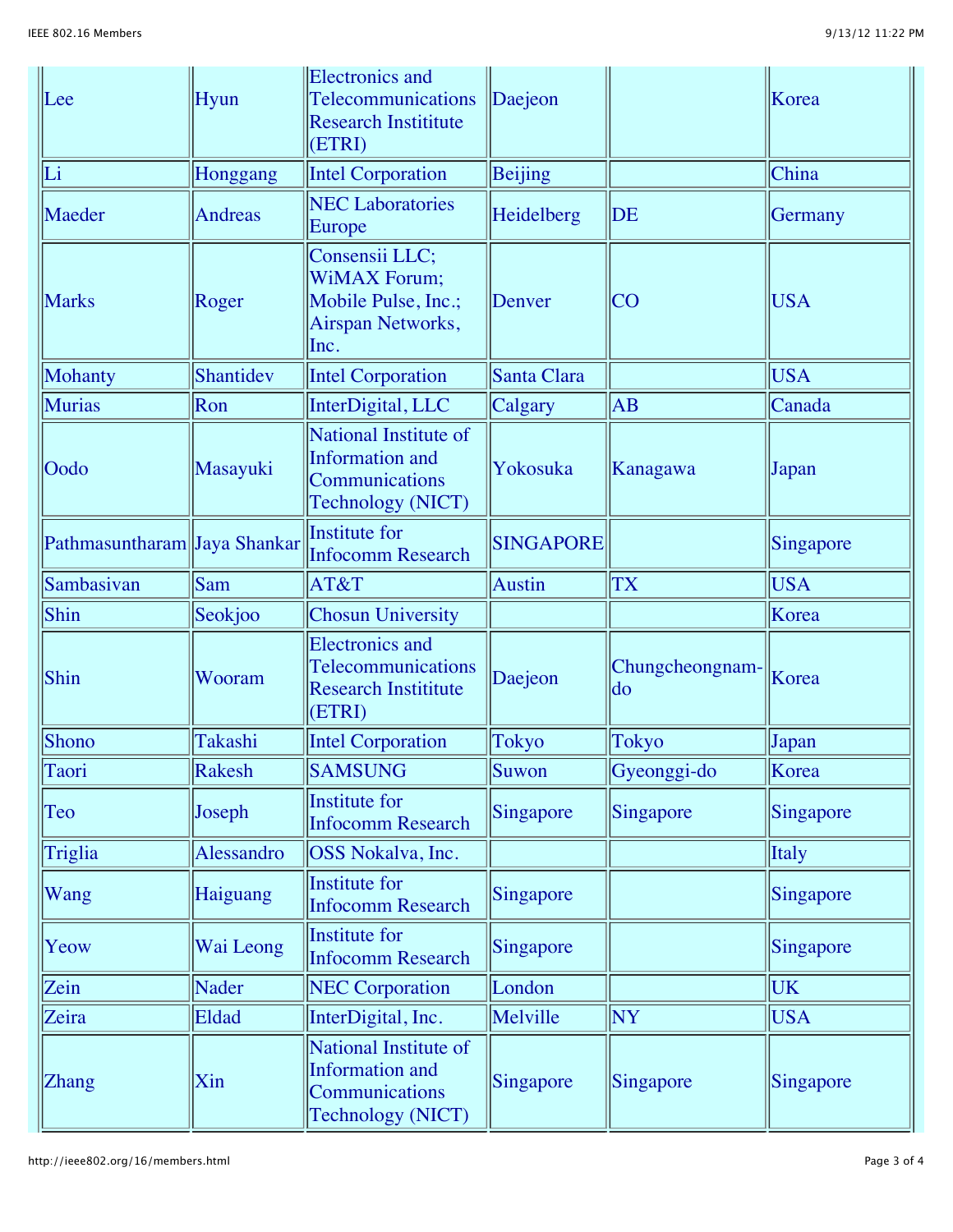| Lee                          | <b>Hyun</b>    | <b>Electronics</b> and<br>Telecommunications<br><b>Research Instititute</b><br>(ETRI)        | Daejeon          |                                           | Korea        |
|------------------------------|----------------|----------------------------------------------------------------------------------------------|------------------|-------------------------------------------|--------------|
| Li                           | Honggang       | <b>Intel Corporation</b>                                                                     | Beijing          |                                           | China        |
| Maeder                       | <b>Andreas</b> | <b>NEC Laboratories</b><br>Europe                                                            | Heidelberg       | DE                                        | Germany      |
| <b>Marks</b>                 | Roger          | Consensii LLC;<br><b>WiMAX Forum;</b><br>Mobile Pulse, Inc.;<br>Airspan Networks,<br>Inc.    | Denver           | <b>CO</b>                                 | <b>USA</b>   |
| Mohanty                      | Shantidev      | <b>Intel Corporation</b>                                                                     | Santa Clara      |                                           | <b>USA</b>   |
| <b>Murias</b>                | Ron            | InterDigital, LLC                                                                            | Calgary          | AB                                        | Canada       |
| Oodo                         | Masayuki       | National Institute of<br>Information and<br>Communications<br>Technology (NICT)              | Yokosuka         | Kanagawa                                  | Japan        |
| Pathmasuntharam Jaya Shankar |                | Institute for<br><b>Infocomm Research</b>                                                    | <b>SINGAPORE</b> |                                           | Singapore    |
| Sambasivan                   | Sam            | AT&T                                                                                         | <b>Austin</b>    | TX                                        | USA          |
| Shin                         | Seokjoo        | <b>Chosun University</b>                                                                     |                  |                                           | Korea        |
| Shin                         | Wooram         | <b>Electronics</b> and<br><b>Telecommunications</b><br><b>Research Instititute</b><br>(ETRI) | Daejeon          | Chungcheongnam-<br>$\overline{\text{do}}$ | Korea        |
| Shono                        | Takashi        | <b>Intel Corporation</b>                                                                     | <b>Tokyo</b>     | Tokyo                                     | Japan        |
| Taori                        | Rakesh         | <b>SAMSUNG</b>                                                                               | Suwon            | Gyeonggi-do                               | Korea        |
| Teo                          | Joseph         | Institute for<br><b>Infocomm Research</b>                                                    | Singapore        | Singapore                                 | Singapore    |
| Triglia                      | Alessandro     | OSS Nokalva, Inc.                                                                            |                  |                                           | <b>Italy</b> |
| Wang                         | Haiguang       | <b>Institute for</b><br><b>Infocomm Research</b>                                             | Singapore        |                                           | Singapore    |
| Yeow                         | Wai Leong      | Institute for<br><b>Infocomm Research</b>                                                    | Singapore        |                                           | Singapore    |
| Zein                         | <b>Nader</b>   | <b>NEC Corporation</b>                                                                       | London           |                                           | <b>UK</b>    |
| Zeira                        | Eldad          | InterDigital, Inc.                                                                           | Melville         | NY                                        | <b>USA</b>   |
| <b>Zhang</b>                 | Xin            | National Institute of<br>Information and<br>Communications<br>Technology (NICT)              | Singapore        | Singapore                                 | Singapore    |